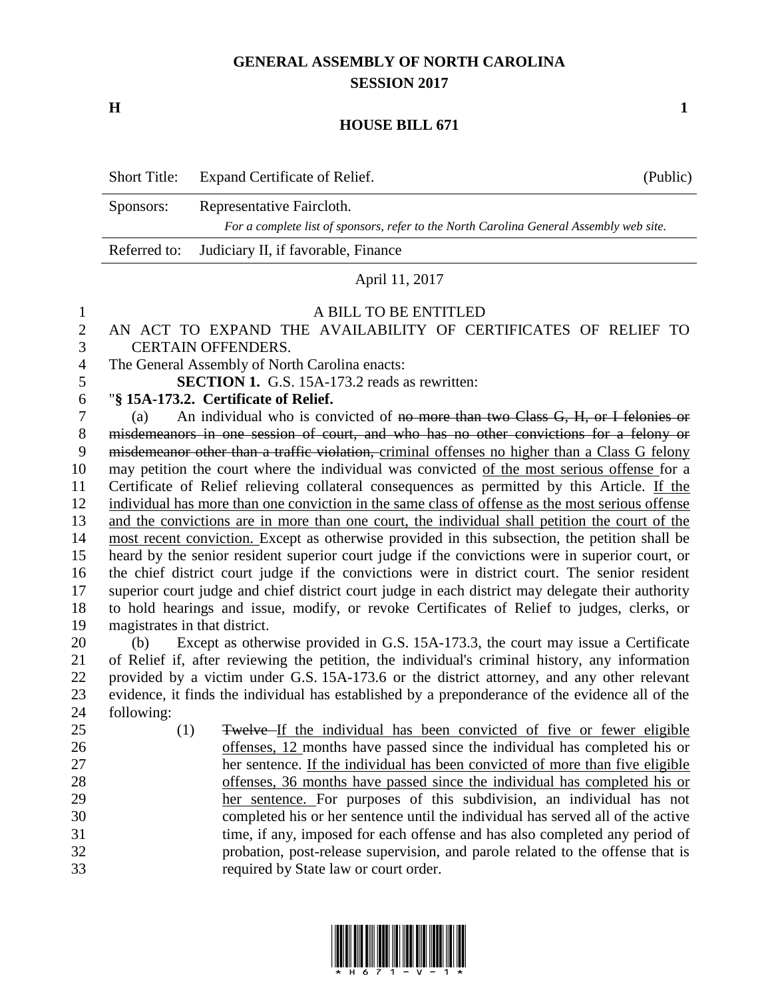# **GENERAL ASSEMBLY OF NORTH CAROLINA SESSION 2017**

**H 1**

#### **HOUSE BILL 671**

|           | Short Title: Expand Certificate of Relief.                                                                           | (Public) |
|-----------|----------------------------------------------------------------------------------------------------------------------|----------|
| Sponsors: | Representative Faircloth.<br>For a complete list of sponsors, refer to the North Carolina General Assembly web site. |          |
|           | Referred to: Judiciary II, if favorable, Finance                                                                     |          |

#### April 11, 2017

#### A BILL TO BE ENTITLED

## AN ACT TO EXPAND THE AVAILABILITY OF CERTIFICATES OF RELIEF TO CERTAIN OFFENDERS.

The General Assembly of North Carolina enacts:

**SECTION 1.** G.S. 15A-173.2 reads as rewritten:

### "**§ 15A-173.2. Certificate of Relief.**

 (a) An individual who is convicted of no more than two Class G, H, or I felonies or misdemeanors in one session of court, and who has no other convictions for a felony or misdemeanor other than a traffic violation, criminal offenses no higher than a Class G felony may petition the court where the individual was convicted of the most serious offense for a Certificate of Relief relieving collateral consequences as permitted by this Article. If the individual has more than one conviction in the same class of offense as the most serious offense and the convictions are in more than one court, the individual shall petition the court of the most recent conviction. Except as otherwise provided in this subsection, the petition shall be heard by the senior resident superior court judge if the convictions were in superior court, or the chief district court judge if the convictions were in district court. The senior resident superior court judge and chief district court judge in each district may delegate their authority to hold hearings and issue, modify, or revoke Certificates of Relief to judges, clerks, or magistrates in that district.

 (b) Except as otherwise provided in G.S. 15A-173.3, the court may issue a Certificate of Relief if, after reviewing the petition, the individual's criminal history, any information provided by a victim under G.S. 15A-173.6 or the district attorney, and any other relevant evidence, it finds the individual has established by a preponderance of the evidence all of the following:

 (1) Twelve If the individual has been convicted of five or fewer eligible offenses, 12 months have passed since the individual has completed his or her sentence. If the individual has been convicted of more than five eligible offenses, 36 months have passed since the individual has completed his or her sentence. For purposes of this subdivision, an individual has not completed his or her sentence until the individual has served all of the active time, if any, imposed for each offense and has also completed any period of probation, post-release supervision, and parole related to the offense that is required by State law or court order.